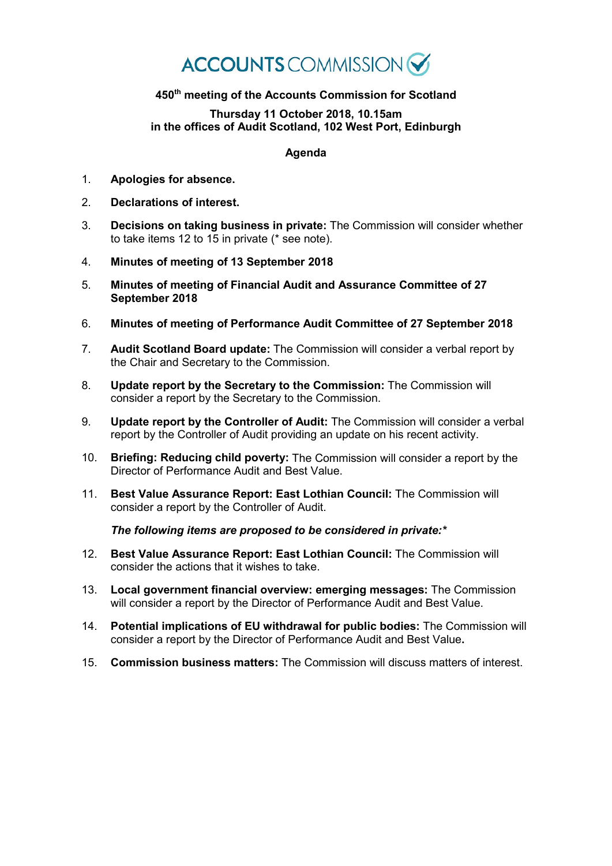## **ACCOUNTS** COMMISSION

## **450th meeting of the Accounts Commission for Scotland**

## **Thursday 11 October 2018, 10.15am in the offices of Audit Scotland, 102 West Port, Edinburgh**

## **Agenda**

- 1. **Apologies for absence.**
- 2. **Declarations of interest.**
- 3. **Decisions on taking business in private:** The Commission will consider whether to take items 12 to 15 in private (\* see note).
- 4. **Minutes of meeting of 13 September 2018**
- 5. **Minutes of meeting of Financial Audit and Assurance Committee of 27 September 2018**
- 6. **Minutes of meeting of Performance Audit Committee of 27 September 2018**
- 7. **Audit Scotland Board update:** The Commission will consider a verbal report by the Chair and Secretary to the Commission.
- 8. **Update report by the Secretary to the Commission:** The Commission will consider a report by the Secretary to the Commission.
- 9. **Update report by the Controller of Audit:** The Commission will consider a verbal report by the Controller of Audit providing an update on his recent activity.
- 10. **Briefing: Reducing child poverty:** The Commission will consider a report by the Director of Performance Audit and Best Value.
- 11. **Best Value Assurance Report: East Lothian Council:** The Commission will consider a report by the Controller of Audit.

*The following items are proposed to be considered in private:\**

- 12. **Best Value Assurance Report: East Lothian Council:** The Commission will consider the actions that it wishes to take.
- 13. **Local government financial overview: emerging messages:** The Commission will consider a report by the Director of Performance Audit and Best Value.
- 14. **Potential implications of EU withdrawal for public bodies:** The Commission will consider a report by the Director of Performance Audit and Best Value**.**
- 15. **Commission business matters:** The Commission will discuss matters of interest.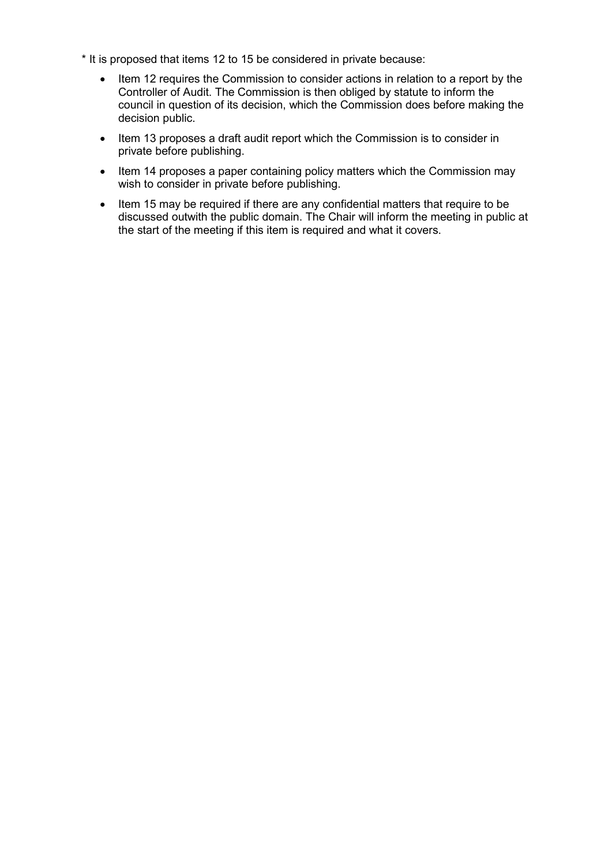- \* It is proposed that items 12 to 15 be considered in private because:
	- Item 12 requires the Commission to consider actions in relation to a report by the Controller of Audit. The Commission is then obliged by statute to inform the council in question of its decision, which the Commission does before making the decision public.
	- Item 13 proposes a draft audit report which the Commission is to consider in private before publishing.
	- Item 14 proposes a paper containing policy matters which the Commission may wish to consider in private before publishing.
	- Item 15 may be required if there are any confidential matters that require to be discussed outwith the public domain. The Chair will inform the meeting in public at the start of the meeting if this item is required and what it covers.